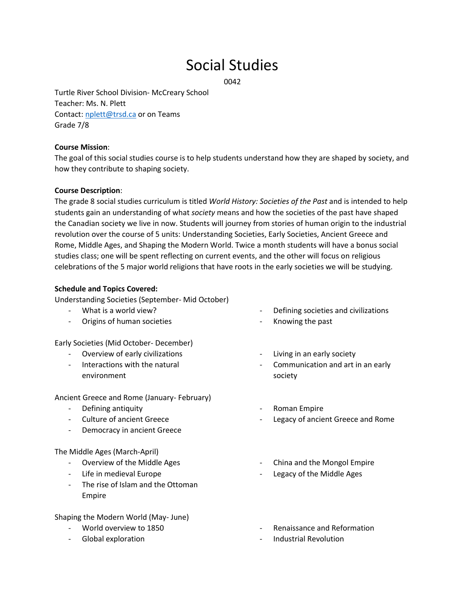# Social Studies

0042

Turtle River School Division- McCreary School Teacher: Ms. N. Plett Contact: [nplett@trsd.ca](mailto:nplett@trsd.ca) or on Teams Grade 7/8

## **Course Mission**:

The goal of this social studies course is to help students understand how they are shaped by society, and how they contribute to shaping society.

## **Course Description**:

The grade 8 social studies curriculum is titled *World History: Societies of the Past* and is intended to help students gain an understanding of what *society* means and how the societies of the past have shaped the Canadian society we live in now. Students will journey from stories of human origin to the industrial revolution over the course of 5 units: Understanding Societies, Early Societies, Ancient Greece and Rome, Middle Ages, and Shaping the Modern World. Twice a month students will have a bonus social studies class; one will be spent reflecting on current events, and the other will focus on religious celebrations of the 5 major world religions that have roots in the early societies we will be studying.

## **Schedule and Topics Covered:**

Understanding Societies (September- Mid October)

- What is a world view?
- Origins of human societies

#### Early Societies (Mid October- December)

- Overview of early civilizations
- Interactions with the natural environment

Ancient Greece and Rome (January- February)

- Defining antiquity
- Culture of ancient Greece
- Democracy in ancient Greece

#### The Middle Ages (March-April)

- Overview of the Middle Ages
- Life in medieval Europe
- The rise of Islam and the Ottoman Empire

Shaping the Modern World (May- June)

- World overview to 1850
- Global exploration
- Defining societies and civilizations
- Knowing the past
- Living in an early society
- Communication and art in an early society
- Roman Empire
- Legacy of ancient Greece and Rome
- China and the Mongol Empire
- Legacy of the Middle Ages
- Renaissance and Reformation
- Industrial Revolution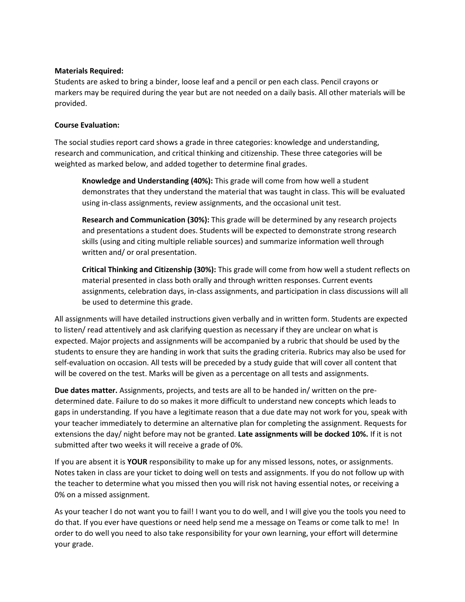# **Materials Required:**

Students are asked to bring a binder, loose leaf and a pencil or pen each class. Pencil crayons or markers may be required during the year but are not needed on a daily basis. All other materials will be provided.

# **Course Evaluation:**

The social studies report card shows a grade in three categories: knowledge and understanding, research and communication, and critical thinking and citizenship. These three categories will be weighted as marked below, and added together to determine final grades.

**Knowledge and Understanding (40%):** This grade will come from how well a student demonstrates that they understand the material that was taught in class. This will be evaluated using in-class assignments, review assignments, and the occasional unit test.

**Research and Communication (30%):** This grade will be determined by any research projects and presentations a student does. Students will be expected to demonstrate strong research skills (using and citing multiple reliable sources) and summarize information well through written and/ or oral presentation.

**Critical Thinking and Citizenship (30%):** This grade will come from how well a student reflects on material presented in class both orally and through written responses. Current events assignments, celebration days, in-class assignments, and participation in class discussions will all be used to determine this grade.

All assignments will have detailed instructions given verbally and in written form. Students are expected to listen/ read attentively and ask clarifying question as necessary if they are unclear on what is expected. Major projects and assignments will be accompanied by a rubric that should be used by the students to ensure they are handing in work that suits the grading criteria. Rubrics may also be used for self-evaluation on occasion. All tests will be preceded by a study guide that will cover all content that will be covered on the test. Marks will be given as a percentage on all tests and assignments.

**Due dates matter.** Assignments, projects, and tests are all to be handed in/ written on the predetermined date. Failure to do so makes it more difficult to understand new concepts which leads to gaps in understanding. If you have a legitimate reason that a due date may not work for you, speak with your teacher immediately to determine an alternative plan for completing the assignment. Requests for extensions the day/ night before may not be granted. **Late assignments will be docked 10%.** If it is not submitted after two weeks it will receive a grade of 0%.

If you are absent it is **YOUR** responsibility to make up for any missed lessons, notes, or assignments. Notes taken in class are your ticket to doing well on tests and assignments. If you do not follow up with the teacher to determine what you missed then you will risk not having essential notes, or receiving a 0% on a missed assignment.

As your teacher I do not want you to fail! I want you to do well, and I will give you the tools you need to do that. If you ever have questions or need help send me a message on Teams or come talk to me! In order to do well you need to also take responsibility for your own learning, your effort will determine your grade.